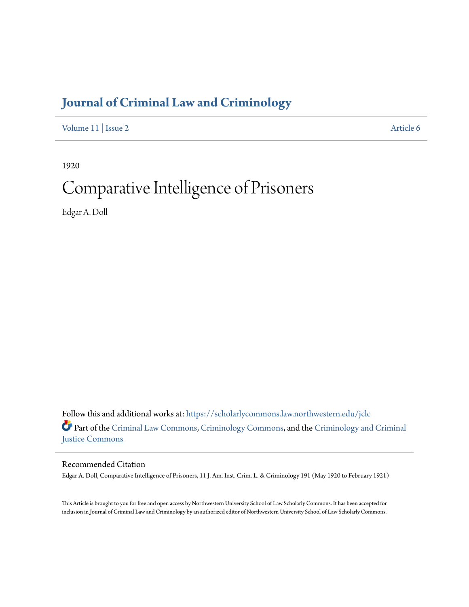# **[Journal of Criminal Law and Criminology](https://scholarlycommons.law.northwestern.edu/jclc?utm_source=scholarlycommons.law.northwestern.edu%2Fjclc%2Fvol11%2Fiss2%2F6&utm_medium=PDF&utm_campaign=PDFCoverPages)**

[Volume 11](https://scholarlycommons.law.northwestern.edu/jclc/vol11?utm_source=scholarlycommons.law.northwestern.edu%2Fjclc%2Fvol11%2Fiss2%2F6&utm_medium=PDF&utm_campaign=PDFCoverPages) | [Issue 2](https://scholarlycommons.law.northwestern.edu/jclc/vol11/iss2?utm_source=scholarlycommons.law.northwestern.edu%2Fjclc%2Fvol11%2Fiss2%2F6&utm_medium=PDF&utm_campaign=PDFCoverPages) [Article 6](https://scholarlycommons.law.northwestern.edu/jclc/vol11/iss2/6?utm_source=scholarlycommons.law.northwestern.edu%2Fjclc%2Fvol11%2Fiss2%2F6&utm_medium=PDF&utm_campaign=PDFCoverPages)

1920

# Comparative Intelligence of Prisoners

Edgar A. Doll

Follow this and additional works at: [https://scholarlycommons.law.northwestern.edu/jclc](https://scholarlycommons.law.northwestern.edu/jclc?utm_source=scholarlycommons.law.northwestern.edu%2Fjclc%2Fvol11%2Fiss2%2F6&utm_medium=PDF&utm_campaign=PDFCoverPages) Part of the [Criminal Law Commons](http://network.bepress.com/hgg/discipline/912?utm_source=scholarlycommons.law.northwestern.edu%2Fjclc%2Fvol11%2Fiss2%2F6&utm_medium=PDF&utm_campaign=PDFCoverPages), [Criminology Commons](http://network.bepress.com/hgg/discipline/417?utm_source=scholarlycommons.law.northwestern.edu%2Fjclc%2Fvol11%2Fiss2%2F6&utm_medium=PDF&utm_campaign=PDFCoverPages), and the [Criminology and Criminal](http://network.bepress.com/hgg/discipline/367?utm_source=scholarlycommons.law.northwestern.edu%2Fjclc%2Fvol11%2Fiss2%2F6&utm_medium=PDF&utm_campaign=PDFCoverPages) [Justice Commons](http://network.bepress.com/hgg/discipline/367?utm_source=scholarlycommons.law.northwestern.edu%2Fjclc%2Fvol11%2Fiss2%2F6&utm_medium=PDF&utm_campaign=PDFCoverPages)

Recommended Citation

Edgar A. Doll, Comparative Intelligence of Prisoners, 11 J. Am. Inst. Crim. L. & Criminology 191 (May 1920 to February 1921)

This Article is brought to you for free and open access by Northwestern University School of Law Scholarly Commons. It has been accepted for inclusion in Journal of Criminal Law and Criminology by an authorized editor of Northwestern University School of Law Scholarly Commons.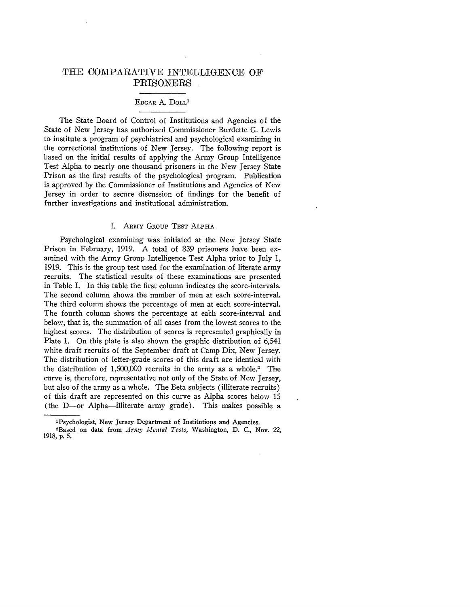## **THE** COMPARATIVE INTELLIGENCE OF PRISONERS

#### EDGAR A. **DOLL'**

The State Board of Control of Institutions and Agencies of the State of New Jersey has authorized Commissioner Burdette G. Lewis to institute a program of psychiatrical and psychological examining in the correctional institutions of New Jersey. The following report is based on the initial results of applying the Army Group Intelligence Test Alpha to nearly one thousand prisoners in the New Jersey State Prison as the first results of the psychological program. Publication is approved by the Commissioner of Institutions and Agencies of New Jersey in order to secure discussion of findings for the benefit of further investigations and institutional administration.

#### I. ARMY GROUP **TEST** ALPHA

Psychological examining was initiated at the New Jersey State Prison in February, 1919. A total of 839 prisoners have been examined with the Army Group Intelligence Test Alpha prior to July 1, 1919. This is the group test used for the examination of literate army recruits. The statistical results of these examinations are presented in Table I. In this table the first column indicates the score-intervals. The second column shows the number of men at each score-interval. The third column shows the percentage of men at each score-interval. The fourth column shows the percentage at each score-interval and below, that is, the summation of all cases from the lowest scores to the highest scores. The distribution of scores is represented graphically in Plate 1. On this plate is also shown the graphic distribution of 6,541 white draft recruits of the September draft at Camp Dix, New Jersey. The distribution of letter-grade scores of this draft are identical with the distribution of  $1,500,000$  recruits in the army as a whole.<sup>2</sup> The curve is, therefore, representative not only of the State of New Jersey, but also of the army as a whole. The Beta subjects (illiterate recruits) of this draft are represented on this curve as Alpha scores below 15 (the D-or Alpha-illiterate army grade). This makes possible a

'Psychologist, New Jersey Department of Institutions and Agencies. 2Based on data from *Army Mental Tests,* Washington, **D.** C., Nov. 22, **1918, p.** *5.*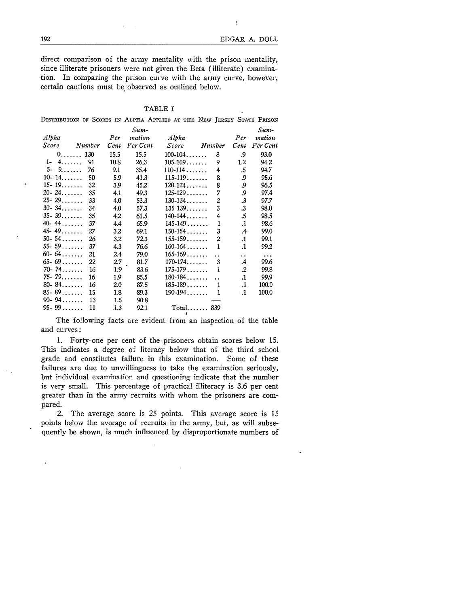Ņ

direct comparison of the army mentality with the prison mentality, since illiterate prisoners were not given the Beta (illiterate) examination. In comparing the prison curve with the army curve, however, certain cautions must be observed as outlined below.

#### TABLE I

|                    |        |             |                            | Distribution of Scores in Alpha Applied at the New Jersey State Prison |                      |                      |                            |
|--------------------|--------|-------------|----------------------------|------------------------------------------------------------------------|----------------------|----------------------|----------------------------|
| Alpha<br>Score     | Number | Per<br>Cent | Sum-<br>mation<br>Per Cent | Alpha<br>Score                                                         | Number               | Per<br>Cent          | Sum-<br>mation<br>Per Cent |
| $0, \ldots, 130$   |        | 15.5        | 15.5                       | $100 - 104 \ldots$                                                     | 8                    | 9.                   | 93.0                       |
| $4. \ldots$<br>1-  | 91     | 10.8        | 26.3                       | $105 - 109$                                                            | 9                    | $1.2\,$              | 94.2                       |
| $5-$<br>$9 \ldots$ | 76     | 9.1         | 35.4                       | $110 - 114$                                                            | 4                    | .5                   | 94.7                       |
| $10 - 14$          | 50     | 5.9         | 41.3                       | $115 - 119$                                                            | 8                    | 9.                   | 95.6                       |
| $15 - 19$          | 32     | 3.9         | 45.2                       | $120 - 124$                                                            | 8                    | و.                   | 96.5                       |
| $20 - 24$          | 35     | 4.1         | 49.3                       | $125 - 129 \ldots$                                                     | 7                    | .9                   | 97.4                       |
| $25 - 29$          | 33     | 4,0         | 53.3                       | $130 - 134$                                                            | 2                    | $\cdot$ 3            | 97.7                       |
| $30 - 34$          | 34     | 4.0         | 57.3                       | $135 - 139$                                                            | 3                    | $\cdot$ 3            | 98.0                       |
| $35 - 39$          | 35     | 4.2         | 61.5                       | $140 - 144$                                                            | 4                    | .5                   | 98.5                       |
| $40 - 44$          | 37     | 4.4         | 65.9                       | $145 - 149$                                                            | 1                    | $\cdot$              | 98.6                       |
| $45 - 49$          | 27     | $3.2\,$     | 69.1                       | $150 - 154$                                                            | 3                    | .4                   | 99.0                       |
| $50 - 54$          | 26     | 3.2         | 72.3                       | $155 - 159$                                                            | $\overline{c}$       | .1                   | 99.1                       |
| $55 - 59$          | 37     | 4.3         | 76.6                       | $160 - 164$                                                            | 1                    | .1                   | 99.2                       |
| $60 - 64$          | 21     | 2.4         | 79.0                       | $165 - 169 \ldots$                                                     | $\ddot{\phantom{0}}$ | $\ddot{\phantom{0}}$ | $\ddotsc$                  |
| $65 - 69$          | 22     | 2.7         | 81.7                       | $170 - 174$                                                            | 3                    | .4                   | 99.6                       |
| $70 - 74$          | 16     | 1.9         | 83.6                       | $175 - 179$                                                            | 1                    | .2                   | 99.8                       |
| $75 - 79$          | 16     | 1.9         | 85.5                       | $180 - 184$                                                            |                      | .1                   | 99.9                       |
| $80 - 84$          | 16     | 2.0         | 87.5                       | $185 - 189$                                                            | 1                    | 1.                   | 100.0                      |
| $85 - 89$          | 15     | 1.8         | 89.3                       | $190 - 194$                                                            | 1                    | .1                   | 100.0                      |
| $90 - 94$          | 13     | 1.5         | 90.8                       |                                                                        |                      |                      |                            |
| $95 - 99$          | 11     | .1.3        | 92.1                       | $Total$ 839                                                            |                      |                      |                            |

The following facts are evident from an inspection of the table and curves:

1. Forty-one per cent of the prisoners obtain scores below **15.** This indicates a degree of literacy below that of the third school grade and constitutes failure in this examination. Some of these failures are due to unwillingness to take the examination seriously, but individual examination and questioning indicate that the number is very small. This percentage of practical illiteracy is 3.6 per cent greater than in the army recruits with whom the prisoners are compared.

2. The average score is 25 points. This average score is 15 points below the average of recruits in the army, but, as will subse- quently be shown, is much influenced by disproportionate numbers of

192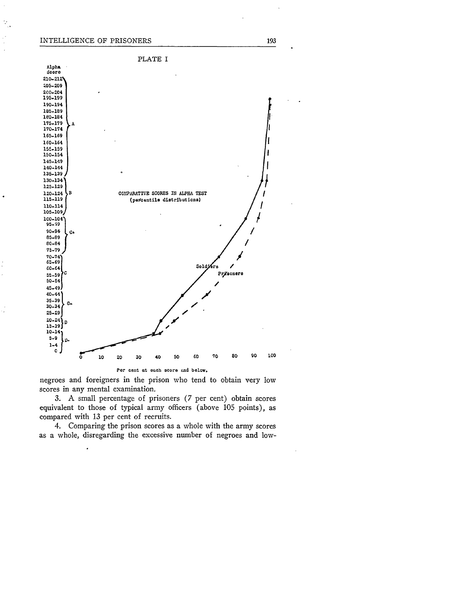#### INTELLIGENCE OF PRISONERS

 $\mathcal{P}_\mu$ 

J,



negroes and foreigners in the prison who tend to obtain very low scores in any mental examination.

3. A small percentage of prisoners (7 per cent) obtain scores equivalent to those of typical army officers (above 105 points), as compared with 13 per cent of recruits.

4. Comparing the prison scores as a whole with the army scores as a whole, disregarding the excessive number of negroes and low-

193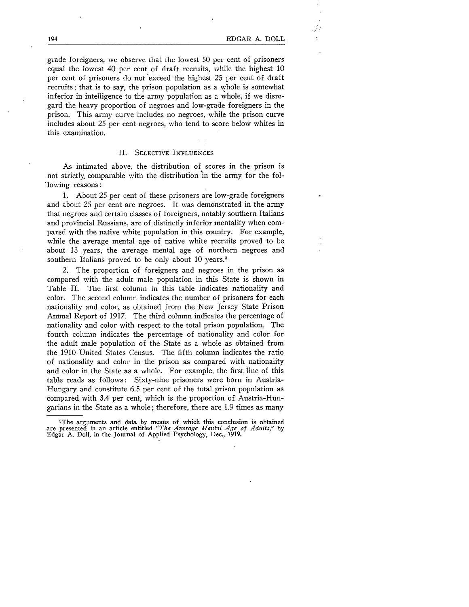grade foreigners, we observe that the lowest 50 per cent of prisoners equal the lowest 40 per cent of draft recruits, while the highest 10 per cent of prisoners do not exceed the highest 25 per cent of draft recruits; that is to say, the prison population as a whole is somewhat inferior in intelligence to the army population as a whole, if we disregard the heavy proportion of negroes and low-grade foreigners in the prison. This army curve includes no negroes, while the prison curve includes about 25 per cent negroes, who tend to score below whites in this examination.

#### II. SELECTIVE INFLUENCES

As intimated above, the distribution of scores in the prison is not strictly, comparable with the distribution in the army for the fol- 'lowing reasons:

**1.** About 25 per cent of these prisoners are low-grade foreigners and about 25 per cent are negroes. It was demonstrated in the army that negroes and certain classes of foreigners, notably southern Italians and provincial Russians, are of distinctly inferior mentality when compared with the native white population in this country. For example, while the average mental age of native white recruits proved to be about 13 years, the average mental age of northern negroes and southern Italians proved to be only about 10 years.<sup>3</sup>

2. The proportion of foreigners and negroes in the prison as compared with the adult male population in this State is shown in Table II. The first column in this table indicates nationality and color. The second column indicates the number of prisoners for each nationality and color, as obtained from the New Jersey State Prison Annual Report of 1917. The third column indicates the percentage of nationality and color with respect to the total prison population. The fourth column indicates the percentage of nationality and color for the adult male population of the State as a whole as obtained from the 1910 United States Census. The fifth column indicates the ratio of nationality and color in the prison as compared with nationality and color in the State as a whole. For example, the first line of this table reads as follows: Sixty-nine prisoners were born in Austria-Hungary and constitute 6.5 per cent of the total prison population as compared. with 3.4 per cent, which is the proportion of Austria-Hungarians in the State as a whole; therefore, there are 1.9 times as many

<sup>3</sup>The arguments and data by means of which this conclusion is obtained are presented in an article entitled *"The Average Mental Age of Adults,"* by Edgar A. Doll, in the Journal of Applied Psychology, Dec., 1919.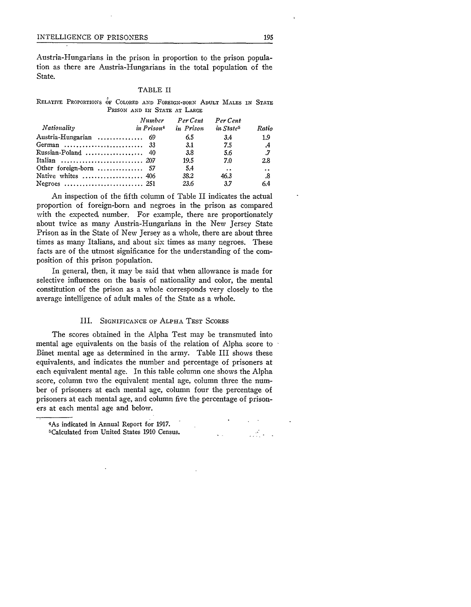#### INTELLIGENCE OF PRISONERS 195

Austria-Hungarians in the prison in proportion to the prison population as there are Austria-Hungarians in the total population of the State.

#### TABLE II

RELATIVE PROPORTIONS OF **COLORED AND** FOREIGN-BORN **ADULT MALES IN STATE** PRISON **AND** IN **STATE AT** LARGE

| Nationality            | Number<br>in Prison <sup>+</sup> | Per Cent<br>in Prison | Per Cent<br>in State <sup>5</sup> | Ratio                |
|------------------------|----------------------------------|-----------------------|-----------------------------------|----------------------|
| Austria-Hungarian  69  |                                  | 6.5                   | 3.4                               | 1.9                  |
| German  33             |                                  | <b>3.1</b>            | 7.5                               | .4                   |
| Russian-Poland  40     |                                  | 3.8                   | 5.6                               | .7                   |
| Italian  207           |                                  | 19.5                  | 7.0                               | 2.8                  |
| Other foreign-born  57 |                                  | 54                    | $\ddot{\phantom{a}}$              | $\ddot{\phantom{a}}$ |
| Native whites  406     |                                  | 38.2                  | 46.3                              | .8                   |
|                        |                                  | 23.6                  | 3.7                               | 6.4                  |

An inspection of the fifth column of Table II indicates the actual proportion of foreign-born and negroes in the prison as compared with the expected number. For example, there are proportionately about twice as many Austria-Hungarians in the New Jersey State Prison as in the State of New Jersey as a whole, there are about three times as many Italians, and about six times as many negroes. These facts are of the utmost significance for the understanding of the composition of this prison population.

In general, then, it may be said that when allowance is made for selective influences on the basis of nationality and color, the mental constitution of the prison as a whole corresponds very closely to the average intelligence of adult males of the State as a whole.

#### III. SIGNIFICANCE OF **ALPHA** TEST SCORES

The scores obtained in the Alpha Test may be transmuted into mental age equivalents on the basis of the relation of Alpha score to Binet mental age as determined in the army. Table III shows these equivalents, and indicates the number and percentage of prisoners at each equivalent mental age. In this table column one shows the Alpha score, column two the equivalent mental age, column three the number of prisoners at each mental age, column four the percentage of prisoners at each mental age, and column five the percentage of prisoners at each mental age and below.

 $\mathcal{L}^{\text{max}}_{\text{max}}$ 

<sup>4</sup>As indicated in Annual Report for 1917. 1 Calculated from United States **1910** Census.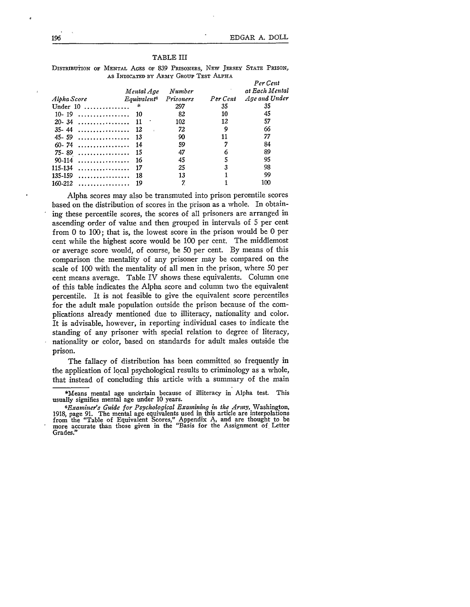#### TABLE III

DISTRIBUTION OF MENTAL AGES OF **839** PRISONERS, NEW JERSEY STATE PRISON, AS INDICATED BY ARMY GROUP TEST ALPHA

|                           | Mental Age                     | Number    |          | Per Cent<br>at Each Mental |
|---------------------------|--------------------------------|-----------|----------|----------------------------|
| Alpha Score               | <i>Equivalent</i> <sup>6</sup> | Prisoners | Per Cent | Age and Under              |
| Under $10$ ,              | 字                              | 297       | 35       | 35                         |
| $10 - 19$<br>.            | -10                            | 82        | 10       | 45                         |
| $20 - 34$<br>.            | -11                            | 102       | 12       | 57                         |
| $35 - 44$<br>. <b>.</b> . | -12                            | 72        | 9        | 66                         |
| $45 - 59$<br>.            | -13                            | 90        | 11       | 77                         |
| $60 - 74$                 | -14                            | 59        | 7        | 84                         |
| .<br>$75 - 89$            | -15                            | 47        | 6        | 89                         |
| 90-114<br>.               | 16                             | 45        | 5        | 95                         |
| 115-134<br>.              | 17                             | 25        | 3        | 98                         |
| 135-159<br>.              | 18                             | 13        |          | 99                         |
| 160-212<br>.              | 19                             |           |          | 100                        |

Alpha scores may also be transmuted into prison percentile scores based on the distribution of scores in the prison as a whole. In obtaining these percentile scores, the scores of all prisoners are arranged in ascending order of value and then grouped in intervals of 5 per cent from 0 to 100; that is, the lowest score in the prison would be 0 per cent while the highest score would be 100 per cent. The middlemost or average score would, of course, be 50 per cent. By means of this comparison the mentality of any prisoner may be compared on the scale of 100 with the mentality of all men in the prison, where 50 per cent means average. Table IV shows these equivalents. Column one of this table indicates the Alpha score and column two the equivalent percentile. It is not feasible to give the equivalent score percentiles for the adult male population outside the prison because of the complications already mentioned due to illiteracy, nationality and color. It is advisable, however, in reporting individual cases to indicate the standing of any prisoner with special relation to degree of literacy, nationality or color, based on standards for adult males outside the prison.

The fallacy of distribution has been committed so frequently in the application of local psychological results to criminology as a whole, that instead of concluding this article with a summary of the main

<sup>\*</sup>Means mental age uncertain because of illiteracy in Alpha test. This usually signifies mental age under 10 years.

*<sup>6</sup>Exantines Guide for Psychological Examining in the Army,* Washington, 1918, page 91. The mental age equivalents used in this article are interpolations<br>from the "Table of Equivalent Scores," Appendix A, and are thought to be<br>more accurate than those given in the "Basis for the Assignment of Grades."